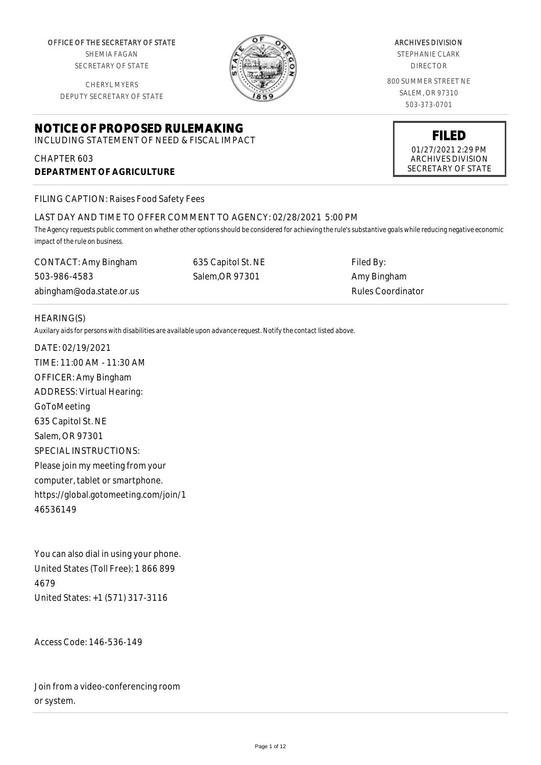OFFICE OF THE SECRETARY OF STATE

SHEMIA FAGAN SECRETARY OF STATE

CHERYL MYERS DEPUTY SECRETARY OF STATE

# **NOTICE OF PROPOSED RULEMAKING**

INCLUDING STATEMENT OF NEED & FISCAL IMPACT

CHAPTER 603 **DEPARTMENT OF AGRICULTURE**

FILING CAPTION: Raises Food Safety Fees

## LAST DAY AND TIME TO OFFER COMMENT TO AGENCY: 02/28/2021 5:00 PM

*The Agency requests public comment on whether other options should be considered for achieving the rule's substantive goals while reducing negative economic impact of the rule on business.*

CONTACT: Amy Bingham 503-986-4583 abingham@oda.state.or.us 635 Capitol St. NE Salem,OR 97301 Filed By: Amy Bingham

#### HEARING(S)

*Auxilary aids for persons with disabilities are available upon advance request. Notify the contact listed above.*

DATE: 02/19/2021 TIME: 11:00 AM - 11:30 AM OFFICER: Amy Bingham ADDRESS: Virtual Hearing: GoToMeeting 635 Capitol St. NE Salem, OR 97301 SPECIAL INSTRUCTIONS: Please join my meeting from your computer, tablet or smartphone. https://global.gotomeeting.com/join/1 46536149

You can also dial in using your phone. United States (Toll Free): 1 866 899 4679 United States: +1 (571) 317-3116

Access Code: 146-536-149

Join from a video-conferencing room or system.



## ARCHIVES DIVISION

STEPHANIE CLARK DIRECTOR

800 SUMMER STREET NE SALEM, OR 97310 503-373-0701



Rules Coordinator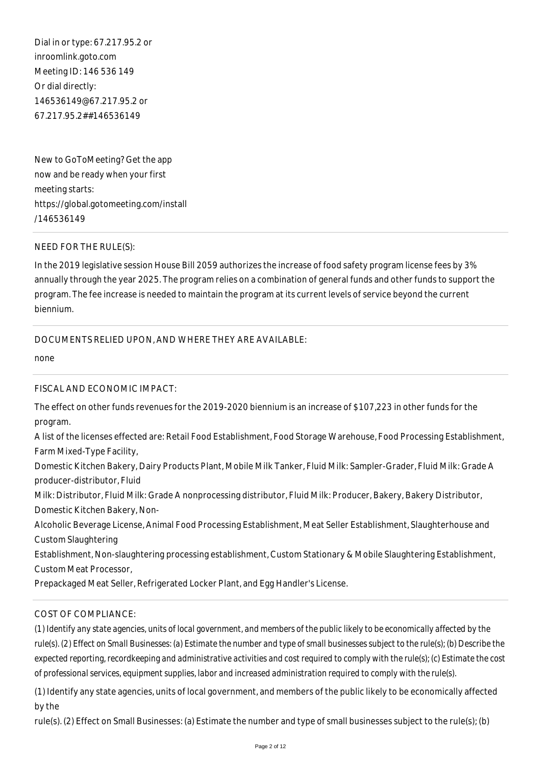Dial in or type: 67.217.95.2 or inroomlink.goto.com Meeting ID: 146 536 149 Or dial directly: 146536149@67.217.95.2 or 67.217.95.2##146536149

New to GoToMeeting? Get the app now and be ready when your first meeting starts: https://global.gotomeeting.com/install /146536149

#### NEED FOR THE RULE(S):

In the 2019 legislative session House Bill 2059 authorizes the increase of food safety program license fees by 3% annually through the year 2025. The program relies on a combination of general funds and other funds to support the program. The fee increase is needed to maintain the program at its current levels of service beyond the current biennium.

#### DOCUMENTS RELIED UPON, AND WHERE THEY ARE AVAILABLE:

none

#### FISCAL AND ECONOMIC IMPACT:

The effect on other funds revenues for the 2019-2020 biennium is an increase of \$107,223 in other funds for the program.

A list of the licenses effected are: Retail Food Establishment, Food Storage Warehouse, Food Processing Establishment, Farm Mixed-Type Facility,

Domestic Kitchen Bakery, Dairy Products Plant, Mobile Milk Tanker, Fluid Milk: Sampler-Grader, Fluid Milk: Grade A producer-distributor, Fluid

Milk: Distributor, Fluid Milk: Grade A nonprocessing distributor, Fluid Milk: Producer, Bakery, Bakery Distributor, Domestic Kitchen Bakery, Non-

Alcoholic Beverage License, Animal Food Processing Establishment, Meat Seller Establishment, Slaughterhouse and Custom Slaughtering

Establishment, Non-slaughtering processing establishment, Custom Stationary & Mobile Slaughtering Establishment, Custom Meat Processor,

Prepackaged Meat Seller, Refrigerated Locker Plant, and Egg Handler's License.

## COST OF COMPLIANCE:

*(1) Identify any state agencies, units of local government, and members of the public likely to be economically affected by the rule(s). (2) Effect on Small Businesses: (a) Estimate the number and type of small businesses subject to the rule(s); (b) Describe the expected reporting, recordkeeping and administrative activities and cost required to comply with the rule(s); (c) Estimate the cost of professional services, equipment supplies, labor and increased administration required to comply with the rule(s).*

(1) Identify any state agencies, units of local government, and members of the public likely to be economically affected by the

rule(s). (2) Effect on Small Businesses: (a) Estimate the number and type of small businesses subject to the rule(s); (b)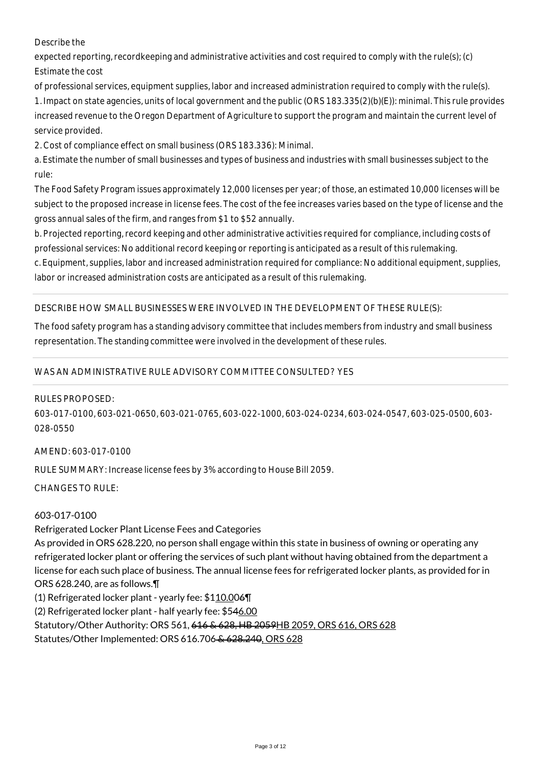## Describe the

expected reporting, recordkeeping and administrative activities and cost required to comply with the rule(s); (c) Estimate the cost

of professional services, equipment supplies, labor and increased administration required to comply with the rule(s). 1. Impact on state agencies, units of local government and the public (ORS 183.335(2)(b)(E)): minimal. This rule provides increased revenue to the Oregon Department of Agriculture to support the program and maintain the current level of service provided.

2. Cost of compliance effect on small business (ORS 183.336): Minimal.

a. Estimate the number of small businesses and types of business and industries with small businesses subject to the rule:

The Food Safety Program issues approximately 12,000 licenses per year; of those, an estimated 10,000 licenses will be subject to the proposed increase in license fees. The cost of the fee increases varies based on the type of license and the gross annual sales of the firm, and ranges from \$1 to \$52 annually.

b. Projected reporting, record keeping and other administrative activities required for compliance, including costs of professional services: No additional record keeping or reporting is anticipated as a result of this rulemaking.

c. Equipment, supplies, labor and increased administration required for compliance: No additional equipment, supplies, labor or increased administration costs are anticipated as a result of this rulemaking.

#### DESCRIBE HOW SMALL BUSINESSES WERE INVOLVED IN THE DEVELOPMENT OF THESE RULE(S):

The food safety program has a standing advisory committee that includes members from industry and small business representation. The standing committee were involved in the development of these rules.

## WAS AN ADMINISTRATIVE RULE ADVISORY COMMITTEE CONSULTED? YES

#### RULES PROPOSED:

603-017-0100, 603-021-0650, 603-021-0765, 603-022-1000, 603-024-0234, 603-024-0547, 603-025-0500, 603- 028-0550

#### AMEND: 603-017-0100

RULE SUMMARY: Increase license fees by 3% according to House Bill 2059.

 $CHANGFS TO RIIF$ 

## 603-017-0100

Refrigerated Locker Plant License Fees and Categories As provided in ORS 628.220, no person shall engage within this state in business of owning or operating any refrigerated locker plant or offering the services of such plant without having obtained from the department a license for each such place of business. The annual license fees for refrigerated locker plants, as provided for in ORS 628.240, are as follows.¶ (1) Refrigerated locker plant - yearly fee: \$110.006¶

(2) Refrigerated locker plant - half yearly fee: \$546.00

Statutory/Other Authority: ORS 561, 616 & 628, HB 2059 HB 2059, ORS 616, ORS 628

Statutes/Other Implemented: ORS 616.706 & 628.240, ORS 628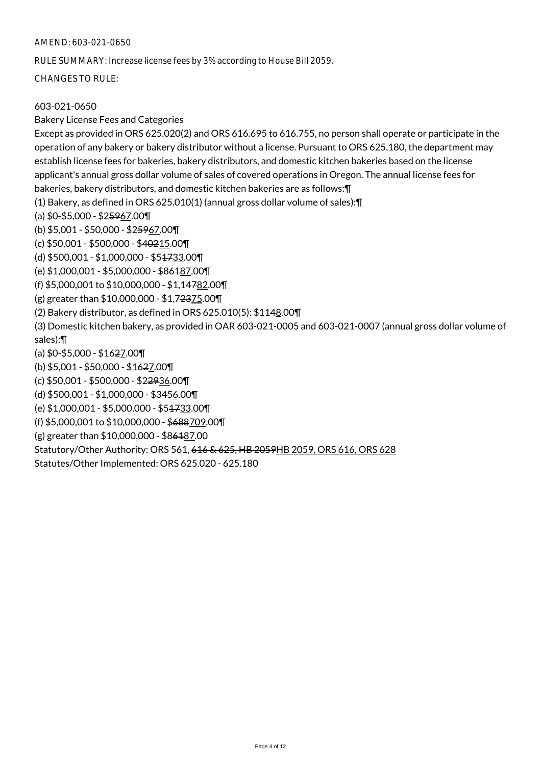#### AMEND: 603-021-0650

RULE SUMMARY: Increase license fees by 3% according to House Bill 2059.

CHANGES TO RULE:

## 603-021-0650

#### Bakery License Fees and Categories

Except as provided in ORS 625.020(2) and ORS 616.695 to 616.755, no person shall operate or participate in the operation of any bakery or bakery distributor without a license. Pursuant to ORS 625.180, the department may establish license fees for bakeries, bakery distributors, and domestic kitchen bakeries based on the license applicant's annual gross dollar volume of sales of covered operations in Oregon. The annual license fees for bakeries, bakery distributors, and domestic kitchen bakeries are as follows:¶ (1) Bakery, as defined in ORS 625.010(1) (annual gross dollar volume of sales):¶ (a) \$0-\$5,000 - \$25967.00¶ (b) \$5,001 - \$50,000 - \$25967.00¶ (c) \$50,001 - \$500,000 - \$40215.00¶ (d) \$500,001 - \$1,000,000 - \$51733.00¶ (e) \$1,000,001 - \$5,000,000 - \$86187.00¶ (f) \$5,000,001 to \$10,000,000 - \$1,14782.00¶ (g) greater than \$10,000,000 - \$1,72375.00¶ (2) Bakery distributor, as defined in ORS 625.010(5): \$1148.00¶ (3) Domestic kitchen bakery, as provided in OAR 603-021-0005 and 603-021-0007 (annual gross dollar volume of sales):¶ (a) \$0-\$5,000 - \$1627.00¶ (b) \$5,001 - \$50,000 - \$1627.00¶ (c) \$50,001 - \$500,000 - \$22936.00¶ (d) \$500,001 - \$1,000,000 - \$3456.00¶ (e) \$1,000,001 - \$5,000,000 - \$51733.00¶ (f) \$5,000,001 to \$10,000,000 - \$688709.00¶ (g) greater than \$10,000,000 - \$86187.00 Statutory/Other Authority: ORS 561, 616 & 625, HB 2059HB 2059, ORS 616, ORS 628 Statutes/Other Implemented: ORS 625.020 - 625.180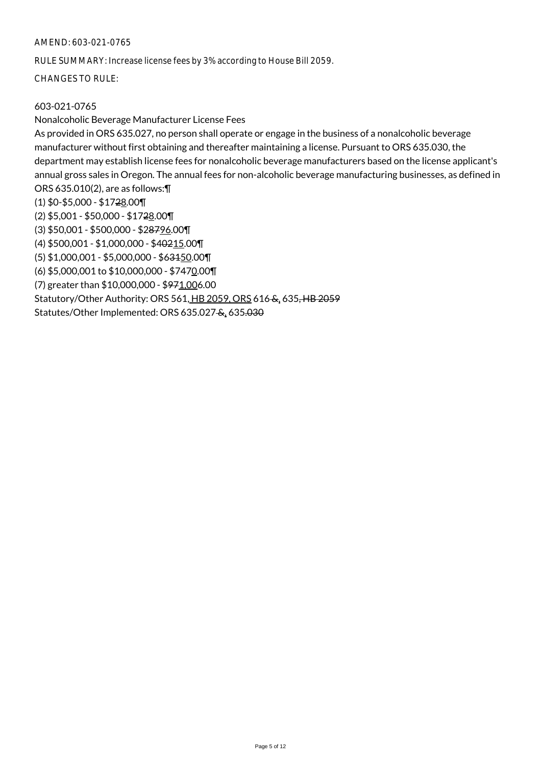#### AMEND: 603-021-0765

RULE SUMMARY: Increase license fees by 3% according to House Bill 2059.

CHANGES TO RULE:

## 603-021-0765

## Nonalcoholic Beverage Manufacturer License Fees

Statutes/Other Implemented: ORS 635.027 &, 635.030

As provided in ORS 635.027, no person shall operate or engage in the business of a nonalcoholic beverage manufacturer without first obtaining and thereafter maintaining a license. Pursuant to ORS 635.030, the department may establish license fees for nonalcoholic beverage manufacturers based on the license applicant's annual gross sales in Oregon. The annual fees for non-alcoholic beverage manufacturing businesses, as defined in ORS 635.010(2), are as follows:¶  $(1)$  \$0-\$5,000 - \$1728.00¶ (2) \$5,001 - \$50,000 - \$1728.00¶ (3) \$50,001 - \$500,000 - \$28796.00¶ (4) \$500,001 - \$1,000,000 - \$40215.00¶ (5) \$1,000,001 - \$5,000,000 - \$63150.00¶ (6) \$5,000,001 to \$10,000,000 - \$7470.00¶ (7) greater than \$10,000,000 - \$971,006.00 Statutory/Other Authority: ORS 561, HB 2059, ORS 616 &, 635, HB 2059

Page 5 of 12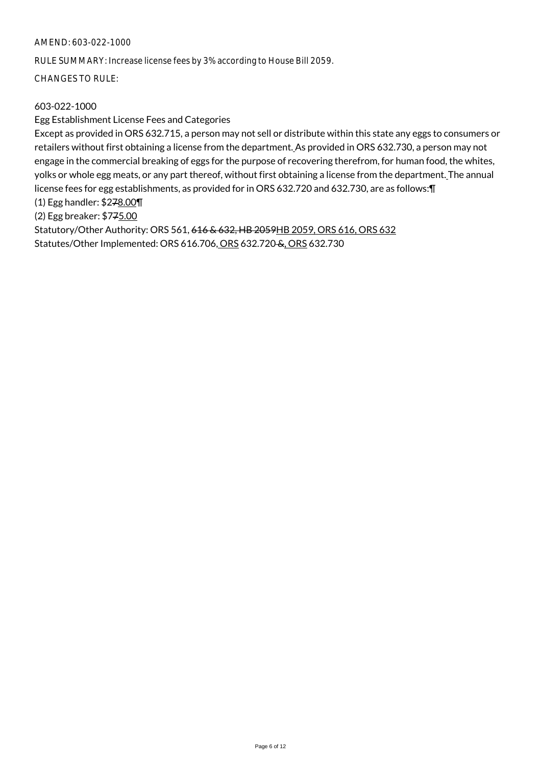## AMEND: 603-022-1000

RULE SUMMARY: Increase license fees by 3% according to House Bill 2059.

CHANGES TO RULE:

## 603-022-1000

#### Egg Establishment License Fees and Categories

Except as provided in ORS 632.715, a person may not sell or distribute within this state any eggs to consumers or retailers without first obtaining a license from the department. As provided in ORS 632.730, a person may not engage in the commercial breaking of eggs for the purpose of recovering therefrom, for human food, the whites, yolks or whole egg meats, or any part thereof, without first obtaining a license from the department. The annual license fees for egg establishments, as provided for in ORS 632.720 and 632.730, are as follows:¶

(1) Egg handler: \$278.00¶

(2) Egg breaker: \$775.00

Statutory/Other Authority: ORS 561, 616 & 632, HB 2059HB 2059, ORS 616, ORS 632 Statutes/Other Implemented: ORS 616.706, ORS 632.720 &, ORS 632.730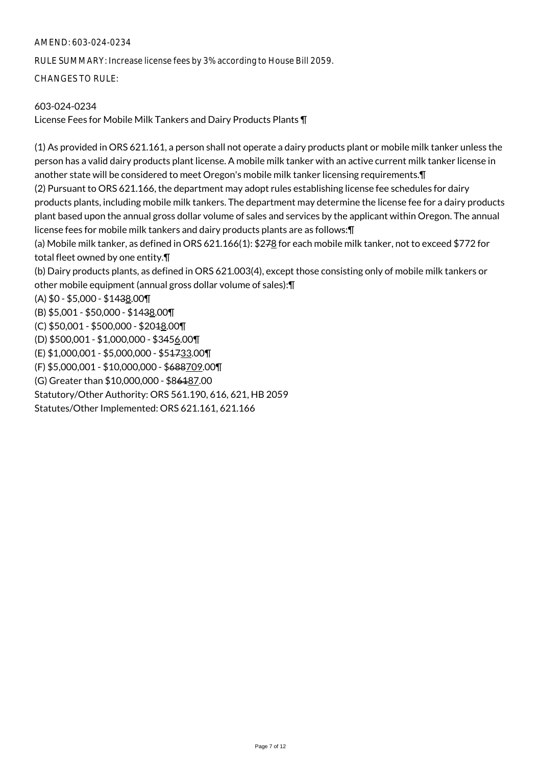## AMEND: 603-024-0234

RULE SUMMARY: Increase license fees by 3% according to House Bill 2059.

CHANGES TO RULE:

## 603-024-0234

License Fees for Mobile Milk Tankers and Dairy Products Plants ¶

(1) As provided in ORS 621.161, a person shall not operate a dairy products plant or mobile milk tanker unless the person has a valid dairy products plant license. A mobile milk tanker with an active current milk tanker license in another state will be considered to meet Oregon's mobile milk tanker licensing requirements.¶

(2) Pursuant to ORS 621.166, the department may adopt rules establishing license fee schedules for dairy products plants, including mobile milk tankers. The department may determine the license fee for a dairy products plant based upon the annual gross dollar volume of sales and services by the applicant within Oregon. The annual license fees for mobile milk tankers and dairy products plants are as follows:¶

(a) Mobile milk tanker, as defined in ORS 621.166(1): \$278 for each mobile milk tanker, not to exceed \$772 for total fleet owned by one entity.¶

(b) Dairy products plants, as defined in ORS 621.003(4), except those consisting only of mobile milk tankers or other mobile equipment (annual gross dollar volume of sales):¶

(A) \$0 - \$5,000 - \$1438.00¶

(B) \$5,001 - \$50,000 - \$1438.00¶

(C) \$50,001 - \$500,000 - \$2018.00¶

(D) \$500,001 - \$1,000,000 - \$3456.00¶

(E) \$1,000,001 - \$5,000,000 - \$51733.00¶

(F) \$5,000,001 - \$10,000,000 - \$688709.00¶

(G) Greater than \$10,000,000 - \$86187.00

Statutory/Other Authority: ORS 561.190, 616, 621, HB 2059

Statutes/Other Implemented: ORS 621.161, 621.166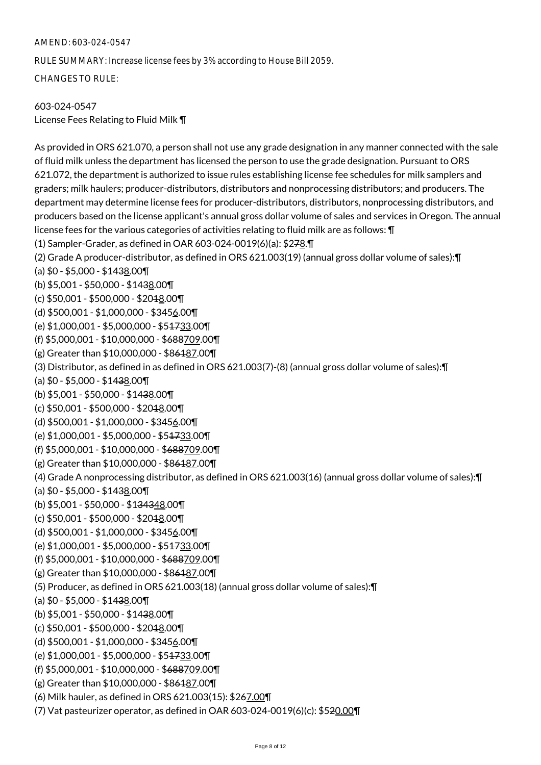#### AMEND: 603-024-0547

RULE SUMMARY: Increase license fees by 3% according to House Bill 2059.

CHANGES TO RULE:

## 603-024-0547

License Fees Relating to Fluid Milk ¶

As provided in ORS 621.070, a person shall not use any grade designation in any manner connected with the sale of fluid milk unless the department has licensed the person to use the grade designation. Pursuant to ORS 621.072, the department is authorized to issue rules establishing license fee schedules for milk samplers and graders; milk haulers; producer-distributors, distributors and nonprocessing distributors; and producers. The department may determine license fees for producer-distributors, distributors, nonprocessing distributors, and producers based on the license applicant's annual gross dollar volume of sales and services in Oregon. The annual license fees for the various categories of activities relating to fluid milk are as follows: ¶ (1) Sampler-Grader, as defined in OAR 603-024-0019(6)(a): \$278.¶ (2) Grade A producer-distributor, as defined in ORS 621.003(19) (annual gross dollar volume of sales):¶ (a)  $$0 - $5,000 - $1438.00$ (b) \$5,001 - \$50,000 - \$1438.00¶ (c) \$50,001 - \$500,000 - \$2018.00¶ (d) \$500,001 - \$1,000,000 - \$3456.00¶ (e) \$1,000,001 - \$5,000,000 - \$51733.00¶ (f) \$5,000,001 - \$10,000,000 - \$688709.00¶ (g) Greater than \$10,000,000 - \$86187.00¶ (3) Distributor, as defined in as defined in ORS 621.003(7)-(8) (annual gross dollar volume of sales):¶ (a)  $$0 - $5,000 - $1438.00$ (b) \$5,001 - \$50,000 - \$1438.00¶ (c) \$50,001 - \$500,000 - \$204<u>8</u>.00¶ (d) \$500,001 - \$1,000,000 - \$3456.00¶ (e) \$1,000,001 - \$5,000,000 - \$51733.00¶ (f) \$5,000,001 - \$10,000,000 - \$688709.00¶ (g) Greater than \$10,000,000 - \$86187.00¶ (4) Grade A nonprocessing distributor, as defined in ORS 621.003(16) (annual gross dollar volume of sales):¶ (a)  $$0 - $5,000 - $1438.00$ (b) \$5,001 - \$50,000 - \$134348.00¶ (c) \$50,001 - \$500,000 - \$2018.00¶ (d) \$500,001 - \$1,000,000 - \$3456.00¶ (e) \$1,000,001 - \$5,000,000 - \$51733.00¶ (f) \$5,000,001 - \$10,000,000 - \$688709.00¶ (g) Greater than \$10,000,000 - \$86187.00¶ (5) Producer, as defined in ORS 621.003(18) (annual gross dollar volume of sales):¶ (a)  $$0 - $5,000 - $1438.00$ (b) \$5,001 - \$50,000 - \$1438.00¶ (c) \$50,001 - \$500,000 - \$2018.00¶ (d) \$500,001 - \$1,000,000 - \$3456.00¶ (e) \$1,000,001 - \$5,000,000 - \$51733.00¶ (f) \$5,000,001 - \$10,000,000 - \$688709.00¶ (g) Greater than \$10,000,000 - \$86187.00¶ (6) Milk hauler, as defined in ORS 621.003(15): \$267.00¶ (7) Vat pasteurizer operator, as defined in OAR 603-024-0019(6)(c): \$520.00¶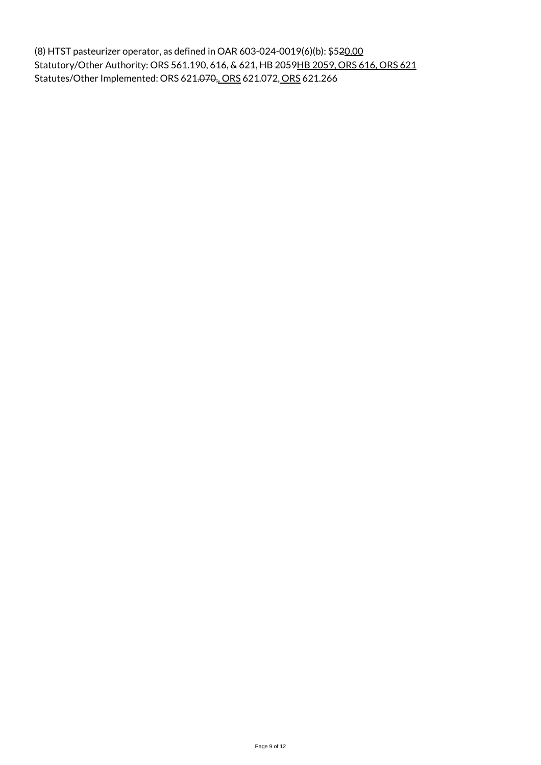(8) HTST pasteurizer operator, as defined in OAR 603-024-0019(6)(b): \$520.00 Statutory/Other Authority: ORS 561.190, 616, & 621, HB 2059HB 2059, ORS 616, ORS 621 Statutes/Other Implemented: ORS 621.070,, ORS 621.072, ORS 621.266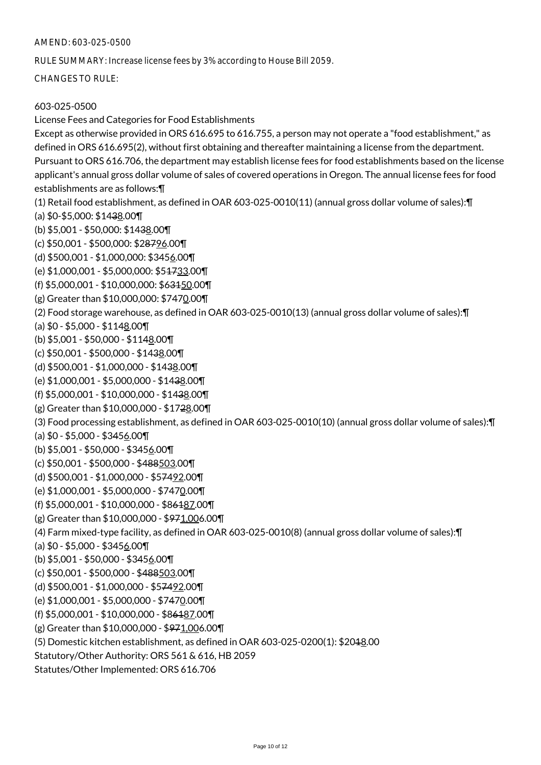#### AMEND: 603-025-0500

RULE SUMMARY: Increase license fees by 3% according to House Bill 2059.

CHANGES TO RULE:

#### 603-025-0500

License Fees and Categories for Food Establishments Except as otherwise provided in ORS 616.695 to 616.755, a person may not operate a "food establishment," as defined in ORS 616.695(2), without first obtaining and thereafter maintaining a license from the department. Pursuant to ORS 616.706, the department may establish license fees for food establishments based on the license applicant's annual gross dollar volume of sales of covered operations in Oregon. The annual license fees for food establishments are as follows:¶ (1) Retail food establishment, as defined in OAR 603-025-0010(11) (annual gross dollar volume of sales):¶ (a) \$0-\$5,000: \$1438.00¶ (b) \$5,001 - \$50,000: \$1438.00¶ (c) \$50,001 - \$500,000: \$28796.00¶ (d) \$500,001 - \$1,000,000: \$3456.00¶ (e) \$1,000,001 - \$5,000,000: \$51733.00¶ (f) \$5,000,001 - \$10,000,000: \$63150.00¶ (g) Greater than \$10,000,000: \$7470.00¶ (2) Food storage warehouse, as defined in OAR 603-025-0010(13) (annual gross dollar volume of sales):¶ (a) \$0 - \$5,000 - \$1148.00¶ (b) \$5,001 - \$50,000 - \$1148.00¶ (c) \$50,001 - \$500,000 - \$1438.00¶ (d) \$500,001 - \$1,000,000 - \$1438.00¶ (e) \$1,000,001 - \$5,000,000 - \$1438.00¶ (f) \$5,000,001 - \$10,000,000 - \$1438.00¶ (g) Greater than \$10,000,000 - \$1728.00¶ (3) Food processing establishment, as defined in OAR 603-025-0010(10) (annual gross dollar volume of sales):¶ (a) \$0 - \$5,000 - \$3456.00¶ (b) \$5,001 - \$50,000 - \$3456.00¶ (c) \$50,001 - \$500,000 - \$488503.00¶ (d) \$500,001 - \$1,000,000 - \$57492.00¶ (e) \$1,000,001 - \$5,000,000 - \$7470.00¶ (f) \$5,000,001 - \$10,000,000 - \$86187.00¶ (g) Greater than \$10,000,000 - \$971,006.00¶ (4) Farm mixed-type facility, as defined in OAR 603-025-0010(8) (annual gross dollar volume of sales):¶ (a)  $$0 - $5,000 - $3456.00$ (b) \$5,001 - \$50,000 - \$3456.00¶ (c) \$50,001 - \$500,000 - \$488503.00¶ (d) \$500,001 - \$1,000,000 - \$57492.00¶ (e) \$1,000,001 - \$5,000,000 - \$7470.00¶ (f) \$5,000,001 - \$10,000,000 - \$86187.00¶ (g) Greater than \$10,000,000 - \$971,006.00¶ (5) Domestic kitchen establishment, as defined in OAR 603-025-0200(1): \$2018.00 Statutory/Other Authority: ORS 561 & 616, HB 2059 Statutes/Other Implemented: ORS 616.706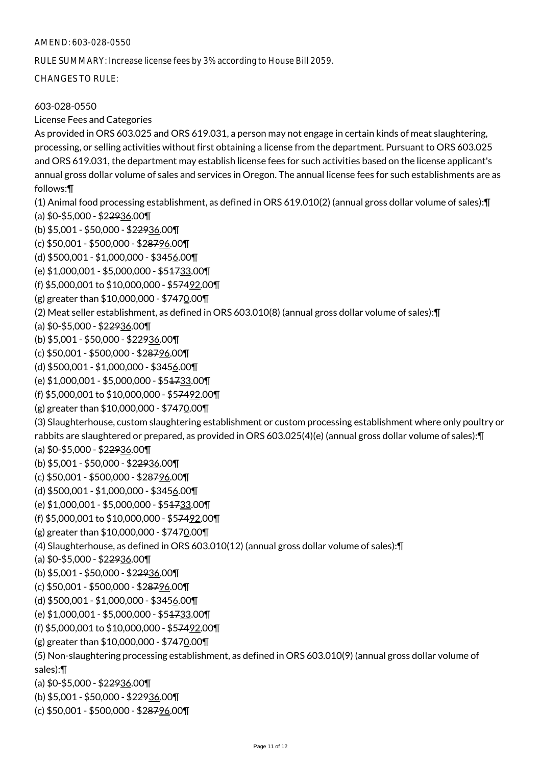#### AMEND: 603-028-0550

RULE SUMMARY: Increase license fees by 3% according to House Bill 2059.

CHANGES TO RULE:

## 603-028-0550

#### License Fees and Categories

As provided in ORS 603.025 and ORS 619.031, a person may not engage in certain kinds of meat slaughtering, processing, or selling activities without first obtaining a license from the department. Pursuant to ORS 603.025 and ORS 619.031, the department may establish license fees for such activities based on the license applicant's annual gross dollar volume of sales and services in Oregon. The annual license fees for such establishments are as follows:¶

(1) Animal food processing establishment, as defined in ORS 619.010(2) (annual gross dollar volume of sales):¶ (a) \$0-\$5,000 - \$22936.00¶

(b) \$5,001 - \$50,000 - \$22936.00¶

(c) \$50,001 - \$500,000 - \$28796.00¶

(d) \$500,001 - \$1,000,000 - \$3456.00¶

(e) \$1,000,001 - \$5,000,000 - \$51733.00¶

(f) \$5,000,001 to \$10,000,000 - \$57492.00¶

(g) greater than \$10,000,000 - \$7470.00¶

(2) Meat seller establishment, as defined in ORS 603.010(8) (annual gross dollar volume of sales):¶

(a) \$0-\$5,000 - \$22936.00¶

(b) \$5,001 - \$50,000 - \$22936.00¶

(c) \$50,001 - \$500,000 - \$28796.00¶

(d) \$500,001 - \$1,000,000 - \$3456.00¶

(e) \$1,000,001 - \$5,000,000 - \$51733.00¶

(f) \$5,000,001 to \$10,000,000 - \$57492.00¶

(g) greater than \$10,000,000 - \$7470.00¶

(3) Slaughterhouse, custom slaughtering establishment or custom processing establishment where only poultry or rabbits are slaughtered or prepared, as provided in ORS 603.025(4)(e) (annual gross dollar volume of sales):¶

(a) \$0-\$5,000 - \$22936.00¶

(b) \$5,001 - \$50,000 - \$22936.00¶

(c) \$50,001 - \$500,000 - \$28796.00¶

(d) \$500,001 - \$1,000,000 - \$3456.00¶

(e) \$1,000,001 - \$5,000,000 - \$51733.00¶

(f) \$5,000,001 to \$10,000,000 - \$57492.00¶

(g) greater than \$10,000,000 - \$7470.00¶

(4) Slaughterhouse, as defined in ORS 603.010(12) (annual gross dollar volume of sales):¶

(a) \$0-\$5,000 - \$22936.00¶

(b) \$5,001 - \$50,000 - \$22936.00¶

(c) \$50,001 - \$500,000 - \$28796.00¶

(d) \$500,001 - \$1,000,000 - \$3456.00¶

(e) \$1,000,001 - \$5,000,000 - \$51733.00¶

(f) \$5,000,001 to \$10,000,000 - \$57492.00¶

(g) greater than \$10,000,000 - \$7470.00¶

(5) Non-slaughtering processing establishment, as defined in ORS 603.010(9) (annual gross dollar volume of sales):¶

(a) \$0-\$5,000 - \$22936.00¶

(b) \$5,001 - \$50,000 - \$22936.00¶

(c) \$50,001 - \$500,000 - \$28796.00¶